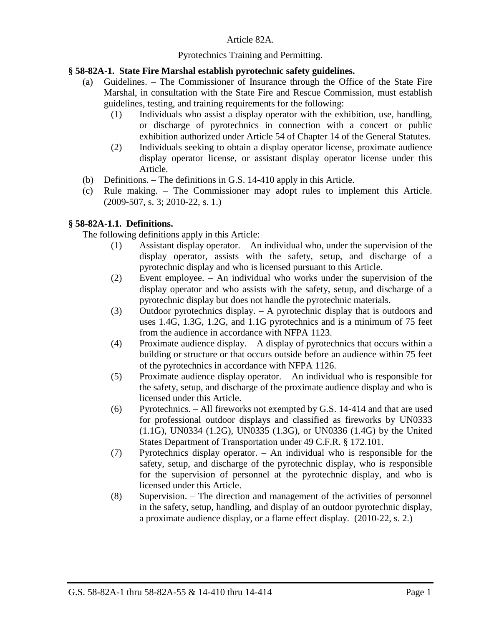### Article 82A.

### Pyrotechnics Training and Permitting.

### **§ 58-82A-1. State Fire Marshal establish pyrotechnic safety guidelines.**

- (a) Guidelines. The Commissioner of Insurance through the Office of the State Fire Marshal, in consultation with the State Fire and Rescue Commission, must establish guidelines, testing, and training requirements for the following:
	- (1) Individuals who assist a display operator with the exhibition, use, handling, or discharge of pyrotechnics in connection with a concert or public exhibition authorized under Article 54 of Chapter 14 of the General Statutes.
	- (2) Individuals seeking to obtain a display operator license, proximate audience display operator license, or assistant display operator license under this Article.
- (b) Definitions. The definitions in G.S. 14-410 apply in this Article.
- (c) Rule making. The Commissioner may adopt rules to implement this Article. (2009-507, s. 3; 2010-22, s. 1.)

### **§ 58-82A-1.1. Definitions.**

The following definitions apply in this Article:

- (1) Assistant display operator. An individual who, under the supervision of the display operator, assists with the safety, setup, and discharge of a pyrotechnic display and who is licensed pursuant to this Article.
- (2) Event employee. An individual who works under the supervision of the display operator and who assists with the safety, setup, and discharge of a pyrotechnic display but does not handle the pyrotechnic materials.
- (3) Outdoor pyrotechnics display. A pyrotechnic display that is outdoors and uses 1.4G, 1.3G, 1.2G, and 1.1G pyrotechnics and is a minimum of 75 feet from the audience in accordance with NFPA 1123.
- (4) Proximate audience display. A display of pyrotechnics that occurs within a building or structure or that occurs outside before an audience within 75 feet of the pyrotechnics in accordance with NFPA 1126.
- (5) Proximate audience display operator. An individual who is responsible for the safety, setup, and discharge of the proximate audience display and who is licensed under this Article.
- (6) Pyrotechnics. All fireworks not exempted by G.S. 14-414 and that are used for professional outdoor displays and classified as fireworks by UN0333 (1.1G), UN0334 (1.2G), UN0335 (1.3G), or UN0336 (1.4G) by the United States Department of Transportation under 49 C.F.R. § 172.101.
- (7) Pyrotechnics display operator. An individual who is responsible for the safety, setup, and discharge of the pyrotechnic display, who is responsible for the supervision of personnel at the pyrotechnic display, and who is licensed under this Article.
- (8) Supervision. The direction and management of the activities of personnel in the safety, setup, handling, and display of an outdoor pyrotechnic display, a proximate audience display, or a flame effect display. (2010-22, s. 2.)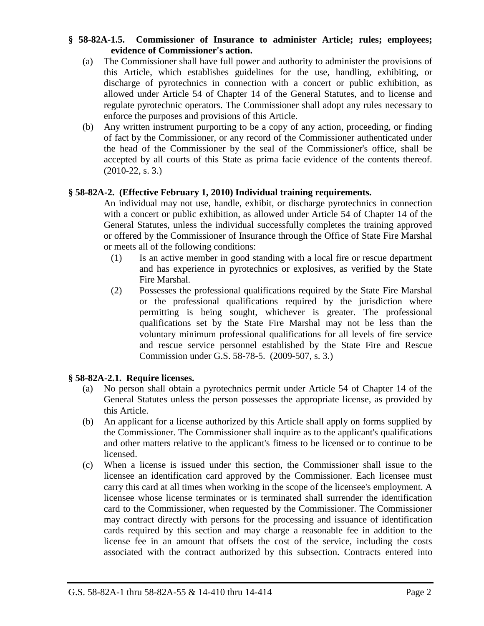### **§ 58-82A-1.5. Commissioner of Insurance to administer Article; rules; employees; evidence of Commissioner's action.**

- (a) The Commissioner shall have full power and authority to administer the provisions of this Article, which establishes guidelines for the use, handling, exhibiting, or discharge of pyrotechnics in connection with a concert or public exhibition, as allowed under Article 54 of Chapter 14 of the General Statutes, and to license and regulate pyrotechnic operators. The Commissioner shall adopt any rules necessary to enforce the purposes and provisions of this Article.
- (b) Any written instrument purporting to be a copy of any action, proceeding, or finding of fact by the Commissioner, or any record of the Commissioner authenticated under the head of the Commissioner by the seal of the Commissioner's office, shall be accepted by all courts of this State as prima facie evidence of the contents thereof.  $(2010-22, s, 3.)$

# **§ 58-82A-2. (Effective February 1, 2010) Individual training requirements.**

An individual may not use, handle, exhibit, or discharge pyrotechnics in connection with a concert or public exhibition, as allowed under Article 54 of Chapter 14 of the General Statutes, unless the individual successfully completes the training approved or offered by the Commissioner of Insurance through the Office of State Fire Marshal or meets all of the following conditions:

- (1) Is an active member in good standing with a local fire or rescue department and has experience in pyrotechnics or explosives, as verified by the State Fire Marshal.
- (2) Possesses the professional qualifications required by the State Fire Marshal or the professional qualifications required by the jurisdiction where permitting is being sought, whichever is greater. The professional qualifications set by the State Fire Marshal may not be less than the voluntary minimum professional qualifications for all levels of fire service and rescue service personnel established by the State Fire and Rescue Commission under G.S. 58-78-5. (2009-507, s. 3.)

# **§ 58-82A-2.1. Require licenses.**

- (a) No person shall obtain a pyrotechnics permit under Article 54 of Chapter 14 of the General Statutes unless the person possesses the appropriate license, as provided by this Article.
- (b) An applicant for a license authorized by this Article shall apply on forms supplied by the Commissioner. The Commissioner shall inquire as to the applicant's qualifications and other matters relative to the applicant's fitness to be licensed or to continue to be licensed.
- (c) When a license is issued under this section, the Commissioner shall issue to the licensee an identification card approved by the Commissioner. Each licensee must carry this card at all times when working in the scope of the licensee's employment. A licensee whose license terminates or is terminated shall surrender the identification card to the Commissioner, when requested by the Commissioner. The Commissioner may contract directly with persons for the processing and issuance of identification cards required by this section and may charge a reasonable fee in addition to the license fee in an amount that offsets the cost of the service, including the costs associated with the contract authorized by this subsection. Contracts entered into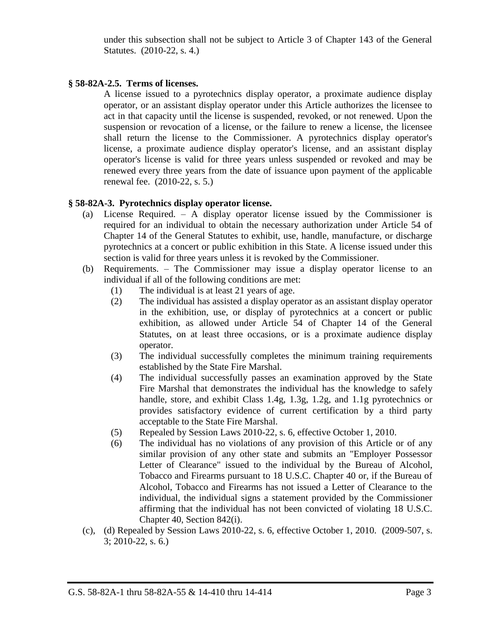under this subsection shall not be subject to Article 3 of Chapter 143 of the General Statutes. (2010-22, s. 4.)

### **§ 58-82A-2.5. Terms of licenses.**

A license issued to a pyrotechnics display operator, a proximate audience display operator, or an assistant display operator under this Article authorizes the licensee to act in that capacity until the license is suspended, revoked, or not renewed. Upon the suspension or revocation of a license, or the failure to renew a license, the licensee shall return the license to the Commissioner. A pyrotechnics display operator's license, a proximate audience display operator's license, and an assistant display operator's license is valid for three years unless suspended or revoked and may be renewed every three years from the date of issuance upon payment of the applicable renewal fee. (2010-22, s. 5.)

### **§ 58-82A-3. Pyrotechnics display operator license.**

- (a) License Required. A display operator license issued by the Commissioner is required for an individual to obtain the necessary authorization under Article 54 of Chapter 14 of the General Statutes to exhibit, use, handle, manufacture, or discharge pyrotechnics at a concert or public exhibition in this State. A license issued under this section is valid for three years unless it is revoked by the Commissioner.
- (b) Requirements. The Commissioner may issue a display operator license to an individual if all of the following conditions are met:
	- (1) The individual is at least 21 years of age.
	- (2) The individual has assisted a display operator as an assistant display operator in the exhibition, use, or display of pyrotechnics at a concert or public exhibition, as allowed under Article 54 of Chapter 14 of the General Statutes, on at least three occasions, or is a proximate audience display operator.
	- (3) The individual successfully completes the minimum training requirements established by the State Fire Marshal.
	- (4) The individual successfully passes an examination approved by the State Fire Marshal that demonstrates the individual has the knowledge to safely handle, store, and exhibit Class 1.4g, 1.3g, 1.2g, and 1.1g pyrotechnics or provides satisfactory evidence of current certification by a third party acceptable to the State Fire Marshal.
	- (5) Repealed by Session Laws 2010-22, s. 6, effective October 1, 2010.
	- (6) The individual has no violations of any provision of this Article or of any similar provision of any other state and submits an "Employer Possessor Letter of Clearance" issued to the individual by the Bureau of Alcohol, Tobacco and Firearms pursuant to 18 U.S.C. Chapter 40 or, if the Bureau of Alcohol, Tobacco and Firearms has not issued a Letter of Clearance to the individual, the individual signs a statement provided by the Commissioner affirming that the individual has not been convicted of violating 18 U.S.C. Chapter 40, Section 842(i).
- (c), (d) Repealed by Session Laws 2010-22, s. 6, effective October 1, 2010. (2009-507, s. 3; 2010-22, s. 6.)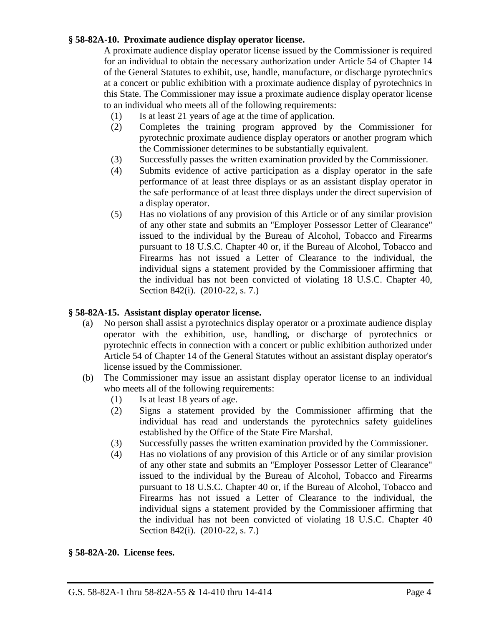### **§ 58-82A-10. Proximate audience display operator license.**

A proximate audience display operator license issued by the Commissioner is required for an individual to obtain the necessary authorization under Article 54 of Chapter 14 of the General Statutes to exhibit, use, handle, manufacture, or discharge pyrotechnics at a concert or public exhibition with a proximate audience display of pyrotechnics in this State. The Commissioner may issue a proximate audience display operator license to an individual who meets all of the following requirements:

- (1) Is at least 21 years of age at the time of application.
- (2) Completes the training program approved by the Commissioner for pyrotechnic proximate audience display operators or another program which the Commissioner determines to be substantially equivalent.
- (3) Successfully passes the written examination provided by the Commissioner.
- (4) Submits evidence of active participation as a display operator in the safe performance of at least three displays or as an assistant display operator in the safe performance of at least three displays under the direct supervision of a display operator.
- (5) Has no violations of any provision of this Article or of any similar provision of any other state and submits an "Employer Possessor Letter of Clearance" issued to the individual by the Bureau of Alcohol, Tobacco and Firearms pursuant to 18 U.S.C. Chapter 40 or, if the Bureau of Alcohol, Tobacco and Firearms has not issued a Letter of Clearance to the individual, the individual signs a statement provided by the Commissioner affirming that the individual has not been convicted of violating 18 U.S.C. Chapter 40, Section 842(i). (2010-22, s. 7.)

#### **§ 58-82A-15. Assistant display operator license.**

- (a) No person shall assist a pyrotechnics display operator or a proximate audience display operator with the exhibition, use, handling, or discharge of pyrotechnics or pyrotechnic effects in connection with a concert or public exhibition authorized under Article 54 of Chapter 14 of the General Statutes without an assistant display operator's license issued by the Commissioner.
- (b) The Commissioner may issue an assistant display operator license to an individual who meets all of the following requirements:
	- (1) Is at least 18 years of age.
	- (2) Signs a statement provided by the Commissioner affirming that the individual has read and understands the pyrotechnics safety guidelines established by the Office of the State Fire Marshal.
	- (3) Successfully passes the written examination provided by the Commissioner.
	- (4) Has no violations of any provision of this Article or of any similar provision of any other state and submits an "Employer Possessor Letter of Clearance" issued to the individual by the Bureau of Alcohol, Tobacco and Firearms pursuant to 18 U.S.C. Chapter 40 or, if the Bureau of Alcohol, Tobacco and Firearms has not issued a Letter of Clearance to the individual, the individual signs a statement provided by the Commissioner affirming that the individual has not been convicted of violating 18 U.S.C. Chapter 40 Section 842(i). (2010-22, s. 7.)

**§ 58-82A-20. License fees.**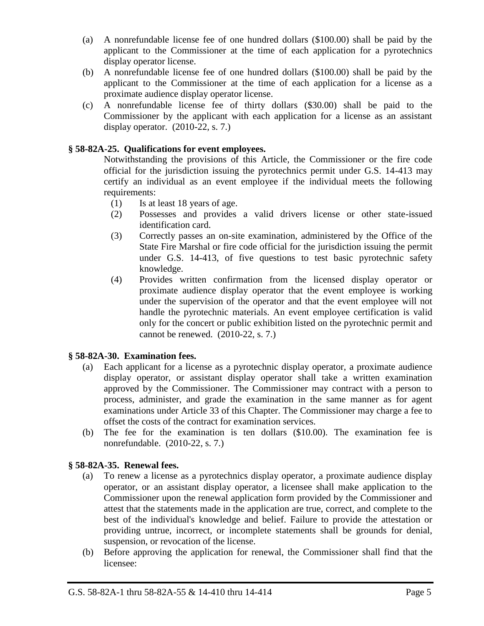- (a) A nonrefundable license fee of one hundred dollars (\$100.00) shall be paid by the applicant to the Commissioner at the time of each application for a pyrotechnics display operator license.
- (b) A nonrefundable license fee of one hundred dollars (\$100.00) shall be paid by the applicant to the Commissioner at the time of each application for a license as a proximate audience display operator license.
- (c) A nonrefundable license fee of thirty dollars (\$30.00) shall be paid to the Commissioner by the applicant with each application for a license as an assistant display operator.  $(2010-22, s. 7.)$

# **§ 58-82A-25. Qualifications for event employees.**

Notwithstanding the provisions of this Article, the Commissioner or the fire code official for the jurisdiction issuing the pyrotechnics permit under G.S. 14-413 may certify an individual as an event employee if the individual meets the following requirements:

- (1) Is at least 18 years of age.
- (2) Possesses and provides a valid drivers license or other state-issued identification card.
- (3) Correctly passes an on-site examination, administered by the Office of the State Fire Marshal or fire code official for the jurisdiction issuing the permit under G.S. 14-413, of five questions to test basic pyrotechnic safety knowledge.
- (4) Provides written confirmation from the licensed display operator or proximate audience display operator that the event employee is working under the supervision of the operator and that the event employee will not handle the pyrotechnic materials. An event employee certification is valid only for the concert or public exhibition listed on the pyrotechnic permit and cannot be renewed. (2010-22, s. 7.)

# **§ 58-82A-30. Examination fees.**

- (a) Each applicant for a license as a pyrotechnic display operator, a proximate audience display operator, or assistant display operator shall take a written examination approved by the Commissioner. The Commissioner may contract with a person to process, administer, and grade the examination in the same manner as for agent examinations under Article 33 of this Chapter. The Commissioner may charge a fee to offset the costs of the contract for examination services.
- (b) The fee for the examination is ten dollars (\$10.00). The examination fee is nonrefundable. (2010-22, s. 7.)

# **§ 58-82A-35. Renewal fees.**

- (a) To renew a license as a pyrotechnics display operator, a proximate audience display operator, or an assistant display operator, a licensee shall make application to the Commissioner upon the renewal application form provided by the Commissioner and attest that the statements made in the application are true, correct, and complete to the best of the individual's knowledge and belief. Failure to provide the attestation or providing untrue, incorrect, or incomplete statements shall be grounds for denial, suspension, or revocation of the license.
- (b) Before approving the application for renewal, the Commissioner shall find that the licensee: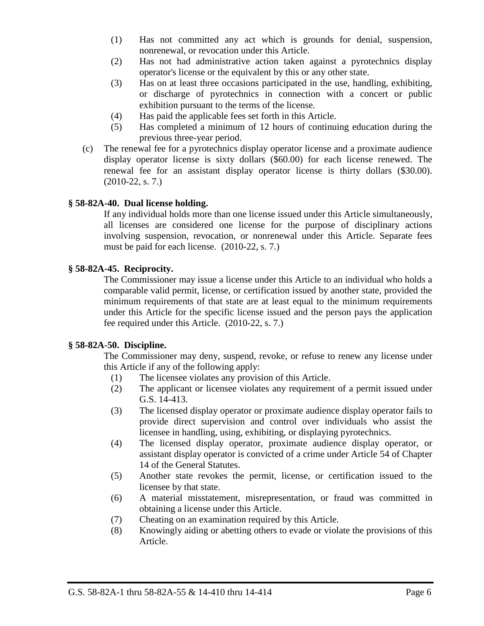- (1) Has not committed any act which is grounds for denial, suspension, nonrenewal, or revocation under this Article.
- (2) Has not had administrative action taken against a pyrotechnics display operator's license or the equivalent by this or any other state.
- (3) Has on at least three occasions participated in the use, handling, exhibiting, or discharge of pyrotechnics in connection with a concert or public exhibition pursuant to the terms of the license.
- (4) Has paid the applicable fees set forth in this Article.
- (5) Has completed a minimum of 12 hours of continuing education during the previous three-year period.
- (c) The renewal fee for a pyrotechnics display operator license and a proximate audience display operator license is sixty dollars (\$60.00) for each license renewed. The renewal fee for an assistant display operator license is thirty dollars (\$30.00). (2010-22, s. 7.)

### **§ 58-82A-40. Dual license holding.**

If any individual holds more than one license issued under this Article simultaneously, all licenses are considered one license for the purpose of disciplinary actions involving suspension, revocation, or nonrenewal under this Article. Separate fees must be paid for each license. (2010-22, s. 7.)

### **§ 58-82A-45. Reciprocity.**

The Commissioner may issue a license under this Article to an individual who holds a comparable valid permit, license, or certification issued by another state, provided the minimum requirements of that state are at least equal to the minimum requirements under this Article for the specific license issued and the person pays the application fee required under this Article. (2010-22, s. 7.)

#### **§ 58-82A-50. Discipline.**

The Commissioner may deny, suspend, revoke, or refuse to renew any license under this Article if any of the following apply:

- (1) The licensee violates any provision of this Article.
- (2) The applicant or licensee violates any requirement of a permit issued under G.S. 14-413.
- (3) The licensed display operator or proximate audience display operator fails to provide direct supervision and control over individuals who assist the licensee in handling, using, exhibiting, or displaying pyrotechnics.
- (4) The licensed display operator, proximate audience display operator, or assistant display operator is convicted of a crime under Article 54 of Chapter 14 of the General Statutes.
- (5) Another state revokes the permit, license, or certification issued to the licensee by that state.
- (6) A material misstatement, misrepresentation, or fraud was committed in obtaining a license under this Article.
- (7) Cheating on an examination required by this Article.
- (8) Knowingly aiding or abetting others to evade or violate the provisions of this Article.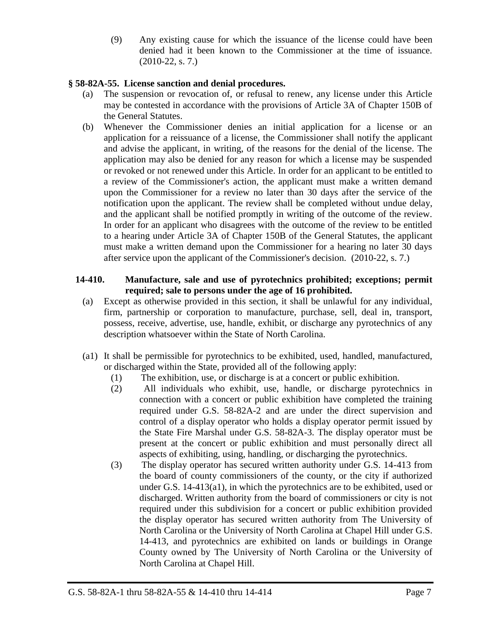(9) Any existing cause for which the issuance of the license could have been denied had it been known to the Commissioner at the time of issuance. (2010-22, s. 7.)

# **§ 58-82A-55. License sanction and denial procedures.**

- (a) The suspension or revocation of, or refusal to renew, any license under this Article may be contested in accordance with the provisions of Article 3A of Chapter 150B of the General Statutes.
- (b) Whenever the Commissioner denies an initial application for a license or an application for a reissuance of a license, the Commissioner shall notify the applicant and advise the applicant, in writing, of the reasons for the denial of the license. The application may also be denied for any reason for which a license may be suspended or revoked or not renewed under this Article. In order for an applicant to be entitled to a review of the Commissioner's action, the applicant must make a written demand upon the Commissioner for a review no later than 30 days after the service of the notification upon the applicant. The review shall be completed without undue delay, and the applicant shall be notified promptly in writing of the outcome of the review. In order for an applicant who disagrees with the outcome of the review to be entitled to a hearing under Article 3A of Chapter 150B of the General Statutes, the applicant must make a written demand upon the Commissioner for a hearing no later 30 days after service upon the applicant of the Commissioner's decision. (2010-22, s. 7.)

# **14-410. Manufacture, sale and use of pyrotechnics prohibited; exceptions; permit required; sale to persons under the age of 16 prohibited.**

- (a) Except as otherwise provided in this section, it shall be unlawful for any individual, firm, partnership or corporation to manufacture, purchase, sell, deal in, transport, possess, receive, advertise, use, handle, exhibit, or discharge any pyrotechnics of any description whatsoever within the State of North Carolina.
- (a1) It shall be permissible for pyrotechnics to be exhibited, used, handled, manufactured, or discharged within the State, provided all of the following apply:
	- (1) The exhibition, use, or discharge is at a concert or public exhibition.
	- (2) All individuals who exhibit, use, handle, or discharge pyrotechnics in connection with a concert or public exhibition have completed the training required under G.S. 58-82A-2 and are under the direct supervision and control of a display operator who holds a display operator permit issued by the State Fire Marshal under G.S. 58-82A-3. The display operator must be present at the concert or public exhibition and must personally direct all aspects of exhibiting, using, handling, or discharging the pyrotechnics.
	- (3) The display operator has secured written authority under G.S. 14-413 from the board of county commissioners of the county, or the city if authorized under G.S. 14-413(a1), in which the pyrotechnics are to be exhibited, used or discharged. Written authority from the board of commissioners or city is not required under this subdivision for a concert or public exhibition provided the display operator has secured written authority from The University of North Carolina or the University of North Carolina at Chapel Hill under G.S. 14-413, and pyrotechnics are exhibited on lands or buildings in Orange County owned by The University of North Carolina or the University of North Carolina at Chapel Hill.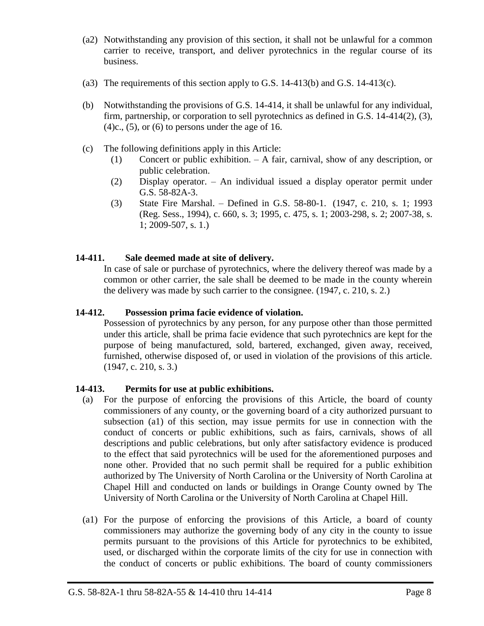- (a2) Notwithstanding any provision of this section, it shall not be unlawful for a common carrier to receive, transport, and deliver pyrotechnics in the regular course of its business.
- (a3) The requirements of this section apply to G.S.  $14-413(b)$  and G.S.  $14-413(c)$ .
- (b) Notwithstanding the provisions of G.S. 14-414, it shall be unlawful for any individual, firm, partnership, or corporation to sell pyrotechnics as defined in G.S. 14-414(2), (3),  $(4)c$ ,  $(5)$ , or  $(6)$  to persons under the age of 16.
- (c) The following definitions apply in this Article:
	- (1) Concert or public exhibition. A fair, carnival, show of any description, or public celebration.
	- (2) Display operator. An individual issued a display operator permit under G.S. 58-82A-3.
	- (3) State Fire Marshal. Defined in G.S. 58-80-1. (1947, c. 210, s. 1; 1993 (Reg. Sess., 1994), c. 660, s. 3; 1995, c. 475, s. 1; 2003-298, s. 2; 2007-38, s. 1; 2009-507, s. 1.)

# **14-411. Sale deemed made at site of delivery.**

In case of sale or purchase of pyrotechnics, where the delivery thereof was made by a common or other carrier, the sale shall be deemed to be made in the county wherein the delivery was made by such carrier to the consignee. (1947, c. 210, s. 2.)

### **14-412. Possession prima facie evidence of violation.**

Possession of pyrotechnics by any person, for any purpose other than those permitted under this article, shall be prima facie evidence that such pyrotechnics are kept for the purpose of being manufactured, sold, bartered, exchanged, given away, received, furnished, otherwise disposed of, or used in violation of the provisions of this article. (1947, c. 210, s. 3.)

# **14-413. Permits for use at public exhibitions.**

- (a) For the purpose of enforcing the provisions of this Article, the board of county commissioners of any county, or the governing board of a city authorized pursuant to subsection (a1) of this section, may issue permits for use in connection with the conduct of concerts or public exhibitions, such as fairs, carnivals, shows of all descriptions and public celebrations, but only after satisfactory evidence is produced to the effect that said pyrotechnics will be used for the aforementioned purposes and none other. Provided that no such permit shall be required for a public exhibition authorized by The University of North Carolina or the University of North Carolina at Chapel Hill and conducted on lands or buildings in Orange County owned by The University of North Carolina or the University of North Carolina at Chapel Hill.
- (a1) For the purpose of enforcing the provisions of this Article, a board of county commissioners may authorize the governing body of any city in the county to issue permits pursuant to the provisions of this Article for pyrotechnics to be exhibited, used, or discharged within the corporate limits of the city for use in connection with the conduct of concerts or public exhibitions. The board of county commissioners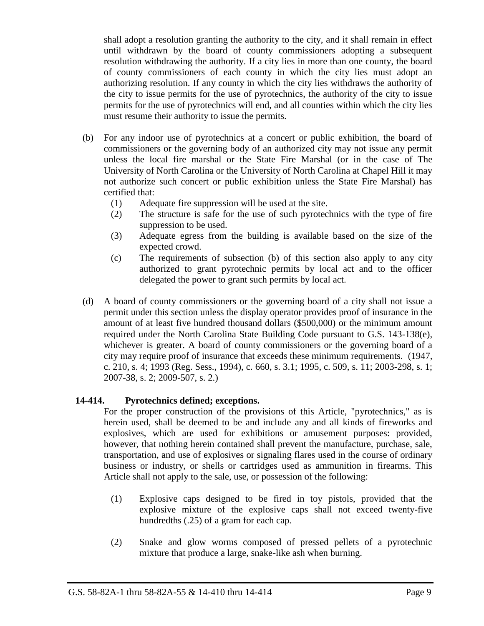shall adopt a resolution granting the authority to the city, and it shall remain in effect until withdrawn by the board of county commissioners adopting a subsequent resolution withdrawing the authority. If a city lies in more than one county, the board of county commissioners of each county in which the city lies must adopt an authorizing resolution. If any county in which the city lies withdraws the authority of the city to issue permits for the use of pyrotechnics, the authority of the city to issue permits for the use of pyrotechnics will end, and all counties within which the city lies must resume their authority to issue the permits.

- (b) For any indoor use of pyrotechnics at a concert or public exhibition, the board of commissioners or the governing body of an authorized city may not issue any permit unless the local fire marshal or the State Fire Marshal (or in the case of The University of North Carolina or the University of North Carolina at Chapel Hill it may not authorize such concert or public exhibition unless the State Fire Marshal) has certified that:
	- (1) Adequate fire suppression will be used at the site.
	- (2) The structure is safe for the use of such pyrotechnics with the type of fire suppression to be used.
	- (3) Adequate egress from the building is available based on the size of the expected crowd.
	- (c) The requirements of subsection (b) of this section also apply to any city authorized to grant pyrotechnic permits by local act and to the officer delegated the power to grant such permits by local act.
- (d) A board of county commissioners or the governing board of a city shall not issue a permit under this section unless the display operator provides proof of insurance in the amount of at least five hundred thousand dollars (\$500,000) or the minimum amount required under the North Carolina State Building Code pursuant to G.S. 143-138(e), whichever is greater. A board of county commissioners or the governing board of a city may require proof of insurance that exceeds these minimum requirements. (1947, c. 210, s. 4; 1993 (Reg. Sess., 1994), c. 660, s. 3.1; 1995, c. 509, s. 11; 2003-298, s. 1; 2007-38, s. 2; 2009-507, s. 2.)

# **14-414. Pyrotechnics defined; exceptions.**

For the proper construction of the provisions of this Article, "pyrotechnics," as is herein used, shall be deemed to be and include any and all kinds of fireworks and explosives, which are used for exhibitions or amusement purposes: provided, however, that nothing herein contained shall prevent the manufacture, purchase, sale, transportation, and use of explosives or signaling flares used in the course of ordinary business or industry, or shells or cartridges used as ammunition in firearms. This Article shall not apply to the sale, use, or possession of the following:

- (1) Explosive caps designed to be fired in toy pistols, provided that the explosive mixture of the explosive caps shall not exceed twenty-five hundredths (.25) of a gram for each cap.
- (2) Snake and glow worms composed of pressed pellets of a pyrotechnic mixture that produce a large, snake-like ash when burning.